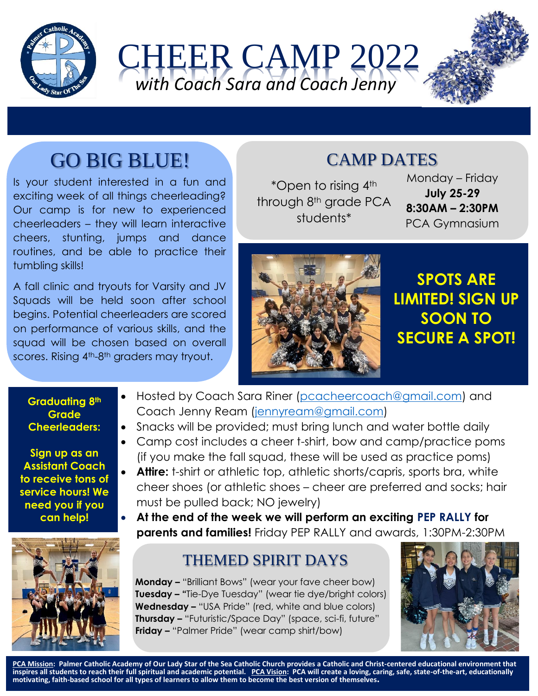

CHEER CAMP 2022 *with Coach Sara and Coach Jenny*



# GO BIG BLUE! CAMP DATES

Is your student interested in a fun and exciting week of all things cheerleading? Our camp is for new to experienced cheerleaders – they will learn interactive cheers, stunting, jumps and dance routines, and be able to practice their tumbling skills!

A fall clinic and tryouts for Varsity and JV Squads will be held soon after school begins. Potential cheerleaders are scored on performance of various skills, and the squad will be chosen based on overall scores. Rising 4<sup>th</sup>-8<sup>th</sup> graders may tryout.

\*Open to rising 4th through 8<sup>th</sup> grade PCA students\*

### Monday – Friday **July 25-29 8:30AM – 2:30PM** PCA Gymnasium



**SPOTS ARE LIMITED! SIGN UP SOON TO SECURE A SPOT!**

### **Graduating 8th Grade Cheerleaders:**

**Sign up as an Assistant Coach to receive tons of service hours! We need you if you can help!** 

- Hosted by Coach Sara Riner [\(pcacheercoach@gmail.com\)](mailto:pcacheercoach@gmail.com) and Coach Jenny Ream [\(jennyream@gmail.com\)](mailto:jennyream@gmail.com)
- Snacks will be provided; must bring lunch and water bottle daily
- Camp cost includes a cheer t-shirt, bow and camp/practice poms (if you make the fall squad, these will be used as practice poms)
- **Attire:** t-shirt or athletic top, athletic shorts/capris, sports bra, white cheer shoes (or athletic shoes – cheer are preferred and socks; hair must be pulled back; NO jewelry)
- **At the end of the week we will perform an exciting PEP RALLY for parents and families!** Friday PEP RALLY and awards, 1:30PM-2:30PM

## THEMED SPIRIT DAYS

**Monday –** "Brilliant Bows" (wear your fave cheer bow) **Tuesday – "**Tie-Dye Tuesday" (wear tie dye/bright colors) **Wednesday –** "USA Pride" (red, white and blue colors) **Thursday –** "Futuristic/Space Day" (space, sci-fi, future" **Friday –** "Palmer Pride" (wear camp shirt/bow)



**PCA Mission: Palmer Catholic Academy of Our Lady Star of the Sea Catholic Church provides a Catholic and Christ-centered educational environment that**  inspires all students to reach their full spiritual and academic potential. <u>PCA Vision</u>: PCA will create a loving, caring, safe, state-of-the-art, educationally<br>motivating, faith-based school for all types of learners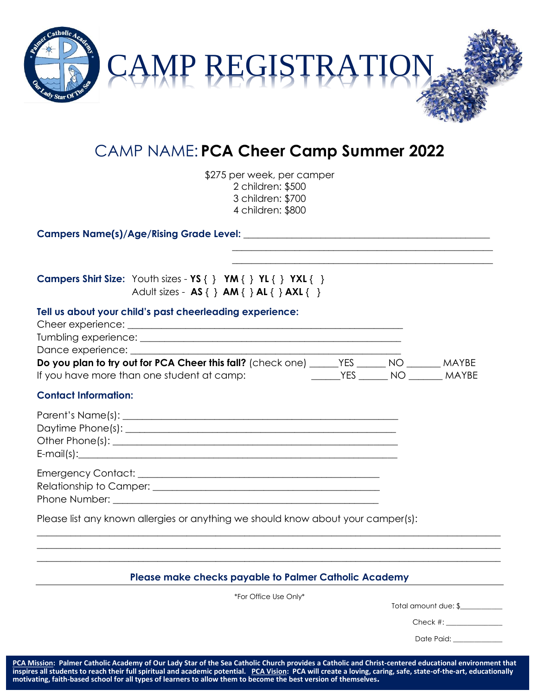

### CAMP NAME: **PCA Cheer Camp Summer 2022**

\$275 per week, per camper 2 children: \$500 3 children: \$700 4 children: \$800

 $\frac{1}{2}$  ,  $\frac{1}{2}$  ,  $\frac{1}{2}$  ,  $\frac{1}{2}$  ,  $\frac{1}{2}$  ,  $\frac{1}{2}$  ,  $\frac{1}{2}$  ,  $\frac{1}{2}$  ,  $\frac{1}{2}$  ,  $\frac{1}{2}$  ,  $\frac{1}{2}$  ,  $\frac{1}{2}$  ,  $\frac{1}{2}$  ,  $\frac{1}{2}$  ,  $\frac{1}{2}$  ,  $\frac{1}{2}$  ,  $\frac{1}{2}$  ,  $\frac{1}{2}$  ,  $\frac{1$ 

 $\frac{1}{2}$  ,  $\frac{1}{2}$  ,  $\frac{1}{2}$  ,  $\frac{1}{2}$  ,  $\frac{1}{2}$  ,  $\frac{1}{2}$  ,  $\frac{1}{2}$  ,  $\frac{1}{2}$  ,  $\frac{1}{2}$  ,  $\frac{1}{2}$  ,  $\frac{1}{2}$  ,  $\frac{1}{2}$  ,  $\frac{1}{2}$  ,  $\frac{1}{2}$  ,  $\frac{1}{2}$  ,  $\frac{1}{2}$  ,  $\frac{1}{2}$  ,  $\frac{1}{2}$  ,  $\frac{1$ 

**Campers Name(s)/Age/Rising Grade Level:** \_\_\_\_\_\_\_\_\_\_\_\_\_\_\_\_\_\_\_\_\_\_\_\_\_\_\_\_\_\_\_\_\_\_\_\_\_\_\_\_\_\_\_\_\_\_\_\_\_\_\_

**Campers Shirt Size:** Youth sizes - **YS** { } **YM** { } **YL** { } **YXL** { } Adult sizes - **AS** { } **AM** { } **AL** { } **AXL** { }

#### **Tell us about your child's past cheerleading experience:**

| Cheer experience:                                           |      |     |              |
|-------------------------------------------------------------|------|-----|--------------|
| Tumbling experience:                                        |      |     |              |
| Dance experience:                                           |      |     |              |
| Do you plan to try out for PCA Cheer this fall? (check one) | YFS. | NO. | MAYBE        |
| If you have more than one student at camp:                  | YFS  | NO) | <b>MAYBE</b> |

#### **Contact Information:**

| $E\text{-mail(s)}:\_$                                                                                                                                                                                                                |  |
|--------------------------------------------------------------------------------------------------------------------------------------------------------------------------------------------------------------------------------------|--|
|                                                                                                                                                                                                                                      |  |
| Relationship to Camper: <u>contract and the contract of the contract of the contract of the contract of the contract of the contract of the contract of the contract of the contract of the contract of the contract of the cont</u> |  |
|                                                                                                                                                                                                                                      |  |

Please list any known allergies or anything we should know about your camper(s):

#### **Please make checks payable to Palmer Catholic Academy**

 $\_$  ,  $\_$  ,  $\_$  ,  $\_$  ,  $\_$  ,  $\_$  ,  $\_$  ,  $\_$  ,  $\_$  ,  $\_$  ,  $\_$  ,  $\_$  ,  $\_$  ,  $\_$  ,  $\_$  ,  $\_$  ,  $\_$  ,  $\_$  ,  $\_$  ,  $\_$  ,  $\_$  ,  $\_$  ,  $\_$  ,  $\_$  ,  $\_$  ,  $\_$  ,  $\_$  ,  $\_$  ,  $\_$  ,  $\_$  ,  $\_$  ,  $\_$  ,  $\_$  ,  $\_$  ,  $\_$  ,  $\_$  ,  $\_$  ,  $\_$  ,  $\_$  ,  $\_$  ,  $\_$  ,  $\_$  ,  $\_$  ,  $\_$  ,  $\_$  ,  $\_$  ,  $\_$  ,  $\_$  ,  $\_$  ,  $\_$  ,  $\_$  ,  $\_$  ,  $\_$  ,  $\_$  ,  $\_$  ,  $\_$  ,  $\_$  ,  $\_$  ,  $\_$  ,  $\_$  ,  $\_$  ,  $\_$  ,  $\_$  ,  $\_$  ,  $\_$  ,  $\_$  ,  $\_$  ,  $\_$  ,  $\_$  ,  $\_$  ,  $\_$  ,  $\_$  ,  $\_$  ,  $\_$  ,  $\_$  ,  $\_$  ,  $\_$  ,  $\_$  ,  $\_$  ,  $\_$  ,  $\_$  ,  $\_$  ,  $\_$  ,  $\_$  ,  $\_$  ,  $\_$  ,  $\_$  ,  $\_$  ,  $\_$  ,  $\_$  ,  $\_$  ,  $\_$  ,  $\_$  ,  $\_$  ,  $\_$  ,  $\_$  ,  $\_$  ,  $\_$  ,  $\_$  ,  $\_$  ,  $\_$  ,  $\_$  ,  $\_$  ,  $\_$  ,  $\_$  ,  $\_$  ,  $\_$  ,  $\_$  ,  $\_$  ,  $\_$  ,  $\_$  ,

\*For Office Use Only\*

Total amount due: \$\_\_\_\_\_\_\_\_\_\_\_\_

Check #: \_\_\_\_\_\_\_\_\_\_\_\_\_\_\_\_

Date Paid:

**PCA Mission: Palmer Catholic Academy of Our Lady Star of the Sea Catholic Church provides a Catholic and Christ-centered educational environment that inspires all students to reach their full spiritual and academic potential. PCA Vision: PCA will create a loving, caring, safe, state-of-the-art, educationally motivating, faith-based school for all types of learners to allow them to become the best version of themselves.**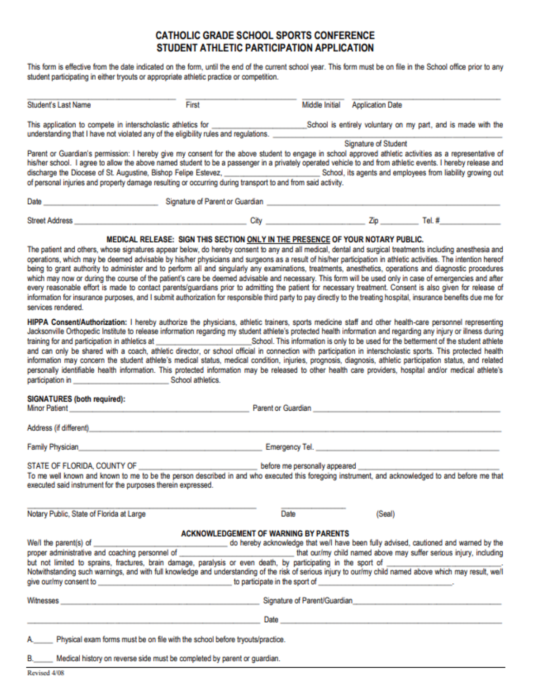#### **CATHOLIC GRADE SCHOOL SPORTS CONFERENCE** STUDENT ATHLETIC PARTICIPATION APPLICATION

This form is effective from the date indicated on the form, until the end of the current school year. This form must be on file in the School office prior to any student participating in either tryouts or appropriate athletic practice or competition.

| <b>Student's Last Name</b>                                                                                                                                                                                                                                                                                                                                                                                                                                                                                                                                                                                                                                                                                                                                                                                                                                                                                                                                                                                                          | First                                                                          | Middle Initial Application Date |        |
|-------------------------------------------------------------------------------------------------------------------------------------------------------------------------------------------------------------------------------------------------------------------------------------------------------------------------------------------------------------------------------------------------------------------------------------------------------------------------------------------------------------------------------------------------------------------------------------------------------------------------------------------------------------------------------------------------------------------------------------------------------------------------------------------------------------------------------------------------------------------------------------------------------------------------------------------------------------------------------------------------------------------------------------|--------------------------------------------------------------------------------|---------------------------------|--------|
| understanding that I have not violated any of the eligibility rules and regulations.                                                                                                                                                                                                                                                                                                                                                                                                                                                                                                                                                                                                                                                                                                                                                                                                                                                                                                                                                |                                                                                |                                 |        |
| Parent or Guardian's permission: I hereby give my consent for the above student to engage in school approved athletic activities as a representative of<br>his/her school. I agree to allow the above named student to be a passenger in a privately operated vehicle to and from athletic events. I hereby release and<br>of personal injuries and property damage resulting or occurring during transport to and from said activity.                                                                                                                                                                                                                                                                                                                                                                                                                                                                                                                                                                                              |                                                                                | <b>Signature of Student</b>     |        |
|                                                                                                                                                                                                                                                                                                                                                                                                                                                                                                                                                                                                                                                                                                                                                                                                                                                                                                                                                                                                                                     |                                                                                |                                 |        |
|                                                                                                                                                                                                                                                                                                                                                                                                                                                                                                                                                                                                                                                                                                                                                                                                                                                                                                                                                                                                                                     |                                                                                |                                 | Tel. # |
| The patient and others, whose signatures appear below, do hereby consent to any and all medical, dental and surgical treatments including anesthesia and<br>operations, which may be deemed advisable by his/her physicians and surgeons as a result of his/her participation in athletic activities. The intention hereof<br>being to grant authority to administer and to perform all and singularly any examinations, treatments, anesthetics, operations and diagnostic procedures<br>which may now or during the course of the patient's care be deemed advisable and necessary. This form will be used only in case of emergencies and after<br>every reasonable effort is made to contact parents/guardians prior to admitting the patient for necessary treatment. Consent is also given for release of<br>information for insurance purposes, and I submit authorization for responsible third party to pay directly to the treating hospital, insurance benefits due me for<br>services rendered                          | MEDICAL RELEASE: SIGN THIS SECTION ONLY IN THE PRESENCE OF YOUR NOTARY PUBLIC. |                                 |        |
| HIPPA Consent/Authorization: I hereby authorize the physicians, athletic trainers, sports medicine staff and other health-care personnel representing<br>Jacksonville Orthopedic Institute to release information regarding my student athlete's protected health information and regarding any injury or illness during<br>training for and participation in athletics at __________________________________School. This information is only to be used for the betterment of the student athlete<br>and can only be shared with a coach, athletic director, or school official in connection with participation in interscholastic sports. This protected health<br>information may concern the student athlete's medical status, medical condition, injuries, prognosis, diagnosis, athletic participation status, and related<br>personally identifiable health information. This protected information may be released to other health care providers, hospital and/or medical athlete's<br>participation in School athletics. |                                                                                |                                 |        |
| <b>SIGNATURES</b> (both required):                                                                                                                                                                                                                                                                                                                                                                                                                                                                                                                                                                                                                                                                                                                                                                                                                                                                                                                                                                                                  | Parent or Guardian                                                             |                                 |        |

Address (if different)

Family Physician

Emergency Tel.

STATE OF FLORIDA, COUNTY OF

before me personally appeared

To me well known and known to me to be the person described in and who executed this foregoing instrument, and acknowledged to and before me that executed said instrument for the purposes therein expressed.

| Notary Public, State of Florida at Large                                                                                                                                                                                                                                                                                                                                                                                                                                                                      | Date                                         | (Seal) |
|---------------------------------------------------------------------------------------------------------------------------------------------------------------------------------------------------------------------------------------------------------------------------------------------------------------------------------------------------------------------------------------------------------------------------------------------------------------------------------------------------------------|----------------------------------------------|--------|
| but not limited to sprains, fractures, brain damage, paralysis or even death, by participating in the sport of<br>Notwithstanding such warnings, and with full knowledge and understanding of the risk of serious injury to our/my child named above which may result, we/l<br>give our/my consent to entropy and the sport of the sport of the sport of the sport of the sport of the sport of the sport of the sport of the sport of the sport of the sport of the sport of the sport of the sport of the s | <b>ACKNOWLEDGEMENT OF WARNING BY PARENTS</b> |        |
| Witnesses Management and the contract of the contract of the contract of the contract of the contract of the contract of the contract of the contract of the contract of the contract of the contract of the contract of the c                                                                                                                                                                                                                                                                                | Signature of Parent/Guardian                 |        |
|                                                                                                                                                                                                                                                                                                                                                                                                                                                                                                               | Date                                         |        |
| Physical exam forms must be on file with the school before tryouts/practice.<br>A.                                                                                                                                                                                                                                                                                                                                                                                                                            |                                              |        |
| B. Medical history on reverse side must be completed by parent or guardian.                                                                                                                                                                                                                                                                                                                                                                                                                                   |                                              |        |
| Revised 4/08                                                                                                                                                                                                                                                                                                                                                                                                                                                                                                  |                                              |        |